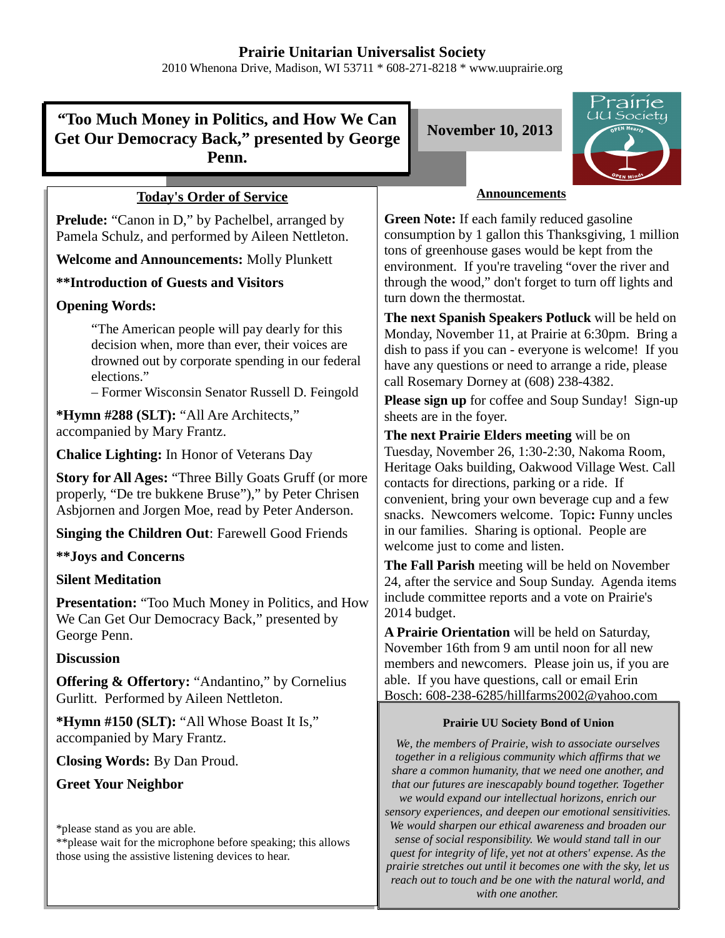2010 Whenona Drive, Madison, WI 53711 \* 608-271-8218 \* www.uuprairie.org

# **"Too Much Money in Politics, and How We Can Get Our Democracy Back," presented by George Penn.**

## **Today's Order of Service**

**Prelude:** "Canon in D," by Pachelbel, arranged by Pamela Schulz, and performed by Aileen Nettleton.

**Welcome and Announcements:** Molly Plunkett

**\*\*Introduction of Guests and Visitors**

## **Opening Words:**

"The American people will pay dearly for this decision when, more than ever, their voices are drowned out by corporate spending in our federal elections."

– Former Wisconsin Senator Russell D. Feingold

**\*Hymn #288 (SLT):** "All Are Architects," accompanied by Mary Frantz.

**Chalice Lighting:** In Honor of Veterans Day

**Story for All Ages:** "Three Billy Goats Gruff (or more properly, "De tre bukkene Bruse")," by Peter Chrisen Asbjornen and Jorgen Moe, read by Peter Anderson.

**Singing the Children Out**: Farewell Good Friends

### **\*\*Joys and Concerns**

## **Silent Meditation**

**Presentation:** "Too Much Money in Politics, and How We Can Get Our Democracy Back," presented by George Penn.

### **Discussion**

**Offering & Offertory:** "Andantino," by Cornelius Gurlitt. Performed by Aileen Nettleton.

**\*Hymn #150 (SLT):** "All Whose Boast It Is," accompanied by Mary Frantz.

**Closing Words:** By Dan Proud.

**Greet Your Neighbor**

\*please stand as you are able.

\*\*please wait for the microphone before speaking; this allows those using the assistive listening devices to hear.

**November 10, 2013**



### **Announcements**

**Green Note:** If each family reduced gasoline consumption by 1 gallon this Thanksgiving, 1 million tons of greenhouse gases would be kept from the environment. If you're traveling "over the river and through the wood," don't forget to turn off lights and turn down the thermostat.

**The next Spanish Speakers Potluck** will be held on Monday, November 11, at Prairie at 6:30pm. Bring a dish to pass if you can - everyone is welcome! If you have any questions or need to arrange a ride, please call Rosemary Dorney at (608) 238-4382.

**Please sign up** for coffee and Soup Sunday! Sign-up sheets are in the foyer.

**The next Prairie Elders meeting** will be on Tuesday, November 26, 1:30-2:30, Nakoma Room, Heritage Oaks building, Oakwood Village West. Call contacts for directions, parking or a ride. If convenient, bring your own beverage cup and a few snacks. Newcomers welcome. Topic**:** Funny uncles in our families. Sharing is optional. People are welcome just to come and listen.

**The Fall Parish** meeting will be held on November 24, after the service and Soup Sunday. Agenda items include committee reports and a vote on Prairie's 2014 budget.

**A Prairie Orientation** will be held on Saturday, November 16th from 9 am until noon for all new members and newcomers. Please join us, if you are able. If you have questions, call or email Erin Bosch: 608-238-6285/hillfarms2002@yahoo.com

#### **Prairie UU Society Bond of Union**

*We, the members of Prairie, wish to associate ourselves together in a religious community which affirms that we share a common humanity, that we need one another, and that our futures are inescapably bound together. Together we would expand our intellectual horizons, enrich our sensory experiences, and deepen our emotional sensitivities. We would sharpen our ethical awareness and broaden our sense of social responsibility. We would stand tall in our quest for integrity of life, yet not at others' expense. As the prairie stretches out until it becomes one with the sky, let us reach out to touch and be one with the natural world, and with one another.*